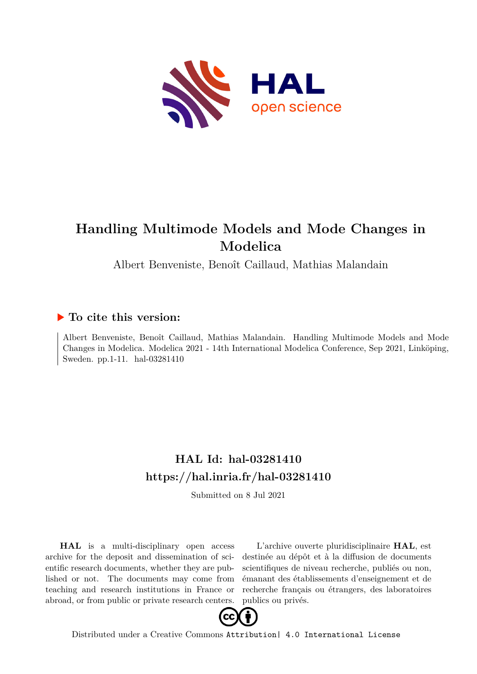

# **Handling Multimode Models and Mode Changes in Modelica**

Albert Benveniste, Benoît Caillaud, Mathias Malandain

## **To cite this version:**

Albert Benveniste, Benoît Caillaud, Mathias Malandain. Handling Multimode Models and Mode Changes in Modelica. Modelica 2021 - 14th International Modelica Conference, Sep 2021, Linköping, Sweden. pp.1-11. hal-03281410

# **HAL Id: hal-03281410 <https://hal.inria.fr/hal-03281410>**

Submitted on 8 Jul 2021

**HAL** is a multi-disciplinary open access archive for the deposit and dissemination of scientific research documents, whether they are published or not. The documents may come from teaching and research institutions in France or abroad, or from public or private research centers.

L'archive ouverte pluridisciplinaire **HAL**, est destinée au dépôt et à la diffusion de documents scientifiques de niveau recherche, publiés ou non, émanant des établissements d'enseignement et de recherche français ou étrangers, des laboratoires publics ou privés.



Distributed under a Creative Commons [Attribution| 4.0 International License](http://creativecommons.org/licenses/by/4.0/)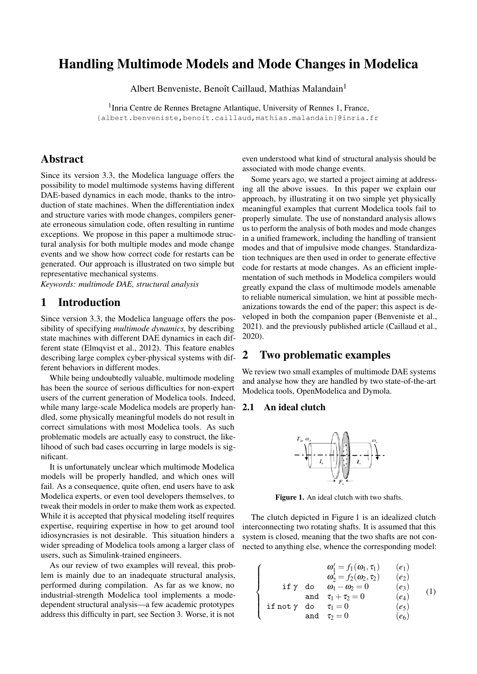## Handling Multimode Models and Mode Changes in Modelica

Albert Benveniste, Benoît Caillaud, Mathias Malandain<sup>1</sup>

<sup>1</sup> Inria Centre de Rennes Bretagne Atlantique, University of Rennes 1, France, {albert.benveniste,benoit.caillaud,mathias.malandain}@inria.fr

## Abstract

Since its version 3.3, the Modelica language offers the possibility to model multimode systems having different DAE-based dynamics in each mode, thanks to the introduction of state machines. When the differentiation index and structure varies with mode changes, compilers generate erroneous simulation code, often resulting in runtime exceptions. We propose in this paper a multimode structural analysis for both multiple modes and mode change events and we show how correct code for restarts can be generated. Our approach is illustrated on two simple but representative mechanical systems.

*Keywords: multimode DAE, structural analysis*

## 1 Introduction

Since version 3.3, the Modelica language offers the possibility of specifying *multimode dynamics,* by describing state machines with different DAE dynamics in each different state (Elmqvist et al., 2012). This feature enables describing large complex cyber-physical systems with different behaviors in different modes.

While being undoubtedly valuable, multimode modeling has been the source of serious difficulties for non-expert users of the current generation of Modelica tools. Indeed, while many large-scale Modelica models are properly handled, some physically meaningful models do not result in correct simulations with most Modelica tools. As such problematic models are actually easy to construct, the likelihood of such bad cases occurring in large models is significant.

It is unfortunately unclear which multimode Modelica models will be properly handled, and which ones will fail. As a consequence, quite often, end users have to ask Modelica experts, or even tool developers themselves, to tweak their models in order to make them work as expected. While it is accepted that physical modeling itself requires expertise, requiring expertise in how to get around tool idiosyncrasies is not desirable. This situation hinders a wider spreading of Modelica tools among a larger class of users, such as Simulink-trained engineers.

As our review of two examples will reveal, this problem is mainly due to an inadequate structural analysis, performed during compilation. As far as we know, no industrial-strength Modelica tool implements a modedependent structural analysis—a few academic prototypes address this difficulty in part, see Section 3. Worse, it is not even understood what kind of structural analysis should be associated with mode change events.

Some years ago, we started a project aiming at addressing all the above issues. In this paper we explain our approach, by illustrating it on two simple yet physically meaningful examples that current Modelica tools fail to properly simulate. The use of nonstandard analysis allows us to perform the analysis of both modes and mode changes in a unified framework, including the handling of transient modes and that of impulsive mode changes. Standardization techniques are then used in order to generate effective code for restarts at mode changes. As an efficient implementation of such methods in Modelica compilers would greatly expand the class of multimode models amenable to reliable numerical simulation, we hint at possible mechanizations towards the end of the paper; this aspect is developed in both the companion paper (Benveniste et al., 2021). and the previously published article (Caillaud et al., 2020).

## 2 Two problematic examples

We review two small examples of multimode DAE systems and analyse how they are handled by two state-of-the-art Modelica tools, OpenModelica and Dymola.

#### 2.1 An ideal clutch



Figure 1. An ideal clutch with two shafts.

The clutch depicted in Figure 1 is an idealized clutch interconnecting two rotating shafts. It is assumed that this system is closed, meaning that the two shafts are not connected to anything else, whence the corresponding model:

$$
\begin{cases}\n\omega'_1 = f_1(\omega_1, \tau_1) & (e_1) \\
\omega'_2 = f_2(\omega_2, \tau_2) & (e_2) \\
\text{if } \gamma \text{ do } \omega_1 - \omega_2 = 0 & (e_3) \\
\text{and } \tau_1 + \tau_2 = 0 & (e_4) \\
\text{if not } \gamma \text{ do } \tau_1 = 0 & (e_5) \\
\text{and } \tau_2 = 0 & (e_6)\n\end{cases}
$$
 (1)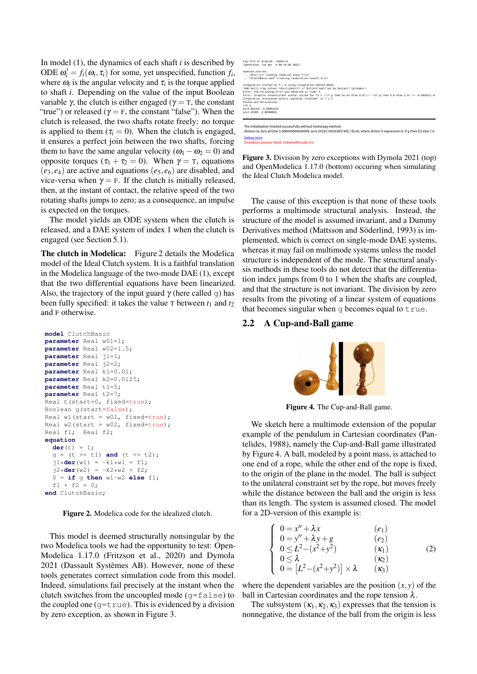In model (1), the dynamics of each shaft *i* is described by ODE  $\omega_i' = f_i(\omega_i, \tau_i)$  for some, yet unspecified, function  $f_i$ , where  $\omega_i$  is the angular velocity and  $\tau_i$  is the torque applied to shaft *i*. Depending on the value of the input Boolean variable γ, the clutch is either engaged ( $γ = T$ , the constant "true") or released ( $\gamma = F$ , the constant "false"). When the clutch is released, the two shafts rotate freely: no torque is applied to them  $(\tau_i = 0)$ . When the clutch is engaged, it ensures a perfect join between the two shafts, forcing them to have the same angular velocity ( $\omega_1 - \omega_2 = 0$ ) and opposite torques ( $τ_1 + τ_2 = 0$ ). When  $γ = T$ , equations  $(e_3, e_4)$  are active and equations  $(e_5, e_6)$  are disabled, and vice-versa when  $\gamma = F$ . If the clutch is initially released, then, at the instant of contact, the relative speed of the two rotating shafts jumps to zero; as a consequence, an impulse is expected on the torques.

The model yields an ODE system when the clutch is released, and a DAE system of index 1 when the clutch is engaged (see Section 5.1).

The clutch in Modelica: Figure 2 details the Modelica model of the Ideal Clutch system. It is a faithful translation in the Modelica language of the two-mode DAE (1), except that the two differential equations have been linearized. Also, the trajectory of the input guard  $\gamma$  (here called q) has been fully specified: it takes the value  $\tau$  between  $t_1$  and  $t_2$ and F otherwise.

```
model ClutchBasic
parameter Real w01=1;
parameter Real w02=1.5;
parameter Real j1=1;
parameter Real j2=2;
parameter Real k1=0.01;
parameter Real k2=0.0125;
parameter Real t1=5;
parameter Real t2=7;
Real t(start=0, fixed=true);
Boolean g(start=false);
Real w1(start = w01, fixed=true);
Real w2(start = w02, fixed=true);
Real f1; Real f2;
equation
  der(t) = 1;
  q = (t \ge 1) and (t \le 1);
  j1 \star \text{der}(w1) = -k1 \star w1 + f1;\vec{12} \times \text{der}(w2) = -k2 \times w2 + f2;
  0 = if g then w1-w2 else f1;
  f1 + f2 = 0;end ClutchBasic;
```
Figure 2. Modelica code for the idealized clutch.

This model is deemed structurally nonsingular by the two Modelica tools we had the opportunity to test: Open-Modelica 1.17.0 (Fritzson et al., 2020) and Dymola 2021 (Dassault Systèmes AB). However, none of these tools generates correct simulation code from this model. Indeed, simulations fail precisely at the instant when the clutch switches from the uncoupled mode  $(q=fale)$  to the coupled one ( $q=true$ ). This is evidenced by a division by zero exception, as shown in Figure 3.

| Log-file of program ./dymosim<br>(generated: Tue Apr 6 08:10:09 2021) |                                                                                                                              |
|-----------------------------------------------------------------------|------------------------------------------------------------------------------------------------------------------------------|
| dymosim started                                                       | "dsin.txt" loading (dymosim input file)                                                                                      |
|                                                                       | "ClutchBasic.mat" creating (simulation result file)                                                                          |
|                                                                       | Integration started at T = 0 using integration method DASSL                                                                  |
|                                                                       | (DAE multi-step solver (dassl/dasslrt of Petzold modified by Dassault Systemes))                                             |
|                                                                       | Error: The following error was detected at time: 5                                                                           |
|                                                                       | Error: Singular inconsistent scalar system for f1 = ((if q then w1-w2 else 0.0))/( -(if q then 0.0 else 1.0)) = -0.502623/-0 |
|                                                                       | Integration terminated before reaching "StopTime" at T = 5                                                                   |
| States and derivatives:                                               |                                                                                                                              |
| $t = 5 \quad 1$                                                       |                                                                                                                              |
| $w1=0.951225 - 0.00951225$                                            |                                                                                                                              |
| $W2 = 1.45385 - 0.00908655$                                           |                                                                                                                              |

The initialization finished successfully without homotopy method. division by zero at time 5.0000000000600098, (a=0.5026218926585789) / (b=0), where divisor b expression is: if q then 0.0 else 1.0 Debug more<br>Simulation process failed. Exited with code 255.

Figure 3. Division by zero exceptions with Dymola 2021 (top) and OpenModelica 1.17.0 (bottom) occuring when simulating the Ideal Clutch Modelica model.

The cause of this exception is that none of these tools performs a multimode structural analysis. Instead, the structure of the model is assumed invariant, and a Dummy Derivatives method (Mattsson and Söderlind, 1993) is implemented, which is correct on single-mode DAE systems, whereas it may fail on multimode systems unless the model structure is independent of the mode. The structural analysis methods in these tools do not detect that the differentiation index jumps from 0 to 1 when the shafts are coupled, and that the structure is not invariant. The division by zero results from the pivoting of a linear system of equations that becomes singular when  $\sigma$  becomes equal to  $true$ .

#### 2.2 A Cup-and-Ball game



Figure 4. The Cup-and-Ball game.

We sketch here a multimode extension of the popular example of the pendulum in Cartesian coordinates (Pantelides, 1988), namely the Cup-and-Ball game illustrated by Figure 4. A ball, modeled by a point mass, is attached to one end of a rope, while the other end of the rope is fixed, to the origin of the plane in the model. The ball is subject to the unilateral constraint set by the rope, but moves freely while the distance between the ball and the origin is less than its length. The system is assumed closed. The model for a 2D-version of this example is:

$$
\begin{cases}\n0 = x'' + \lambda x & (e_1) \\
0 = y'' + \lambda y + g & (e_2) \\
0 \le L^2 - (x^2 + y^2) & (\kappa_1) \\
0 \le \lambda & (\kappa_2) \\
0 = [L^2 - (x^2 + y^2)] \times \lambda & (\kappa_3)\n\end{cases}
$$
\n(2)

where the dependent variables are the position  $(x, y)$  of the ball in Cartesian coordinates and the rope tension  $\lambda$ .

The subsystem  $(\kappa_1, \kappa_2, \kappa_3)$  expresses that the tension is nonnegative, the distance of the ball from the origin is less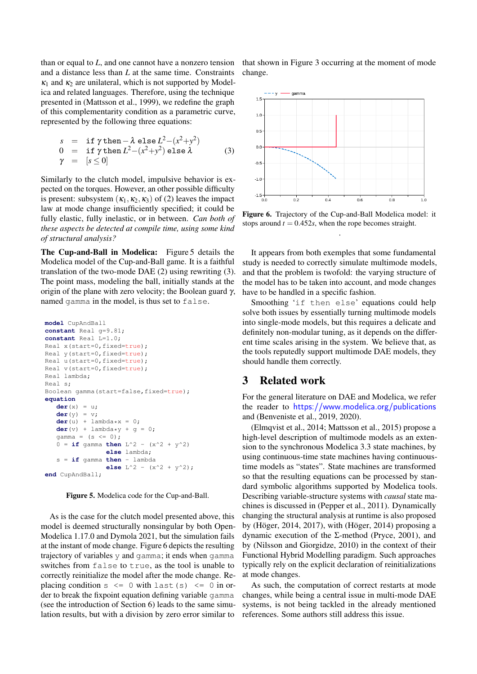than or equal to *L*, and one cannot have a nonzero tension and a distance less than *L* at the same time. Constraints  $\kappa_1$  and  $\kappa_2$  are unilateral, which is not supported by Modelica and related languages. Therefore, using the technique presented in (Mattsson et al., 1999), we redefine the graph of this complementarity condition as a parametric curve, represented by the following three equations:

$$
s = \text{if } \gamma \text{ then } -\lambda \text{ else } L^2 - (x^2 + y^2)
$$
  
\n
$$
0 = \text{if } \gamma \text{ then } L^2 - (x^2 + y^2) \text{ else } \lambda
$$
  
\n
$$
\gamma = [s \le 0]
$$
 (3)

Similarly to the clutch model, impulsive behavior is expected on the torques. However, an other possible difficulty is present: subsystem  $(\kappa_1, \kappa_2, \kappa_3)$  of (2) leaves the impact law at mode change insufficiently specified; it could be fully elastic, fully inelastic, or in between. *Can both of these aspects be detected at compile time, using some kind of structural analysis?*

The Cup-and-Ball in Modelica: Figure 5 details the Modelica model of the Cup-and-Ball game. It is a faithful translation of the two-mode DAE (2) using rewriting (3). The point mass, modeling the ball, initially stands at the origin of the plane with zero velocity; the Boolean guard  $\gamma$ , named gamma in the model, is thus set to false.

```
model CupAndBall
constant Real g=9.81;
constant Real L=1.0;
Real x(start=0,fixed=true);
Real y(start=0,fixed=true);
Real u(start=0, fixed=true);
Real v(start=0,fixed=true);
Real lambda;
Real s;
Boolean gamma(start=false,fixed=true);
equation
   der(x) = u;
   der(y) = v;
   der(u) + lambda *x = 0;der(v) + lambda*y + g = 0;gamma = (s \le 0);
   0 = \textbf{if} gamma then L^2 - (x^2 + y^2)else lambda;
   s = if gamma then - lambda
                 else L^2 - (x^2 + y^2);
end CupAndBall;
```
Figure 5. Modelica code for the Cup-and-Ball.

As is the case for the clutch model presented above, this model is deemed structurally nonsingular by both Open-Modelica 1.17.0 and Dymola 2021, but the simulation fails at the instant of mode change. Figure 6 depicts the resulting trajectory of variables y and gamma; it ends when gamma switches from false to true, as the tool is unable to correctly reinitialize the model after the mode change. Replacing condition  $s \le 0$  with last  $(s) \le 0$  in order to break the fixpoint equation defining variable gamma (see the introduction of Section 6) leads to the same simulation results, but with a division by zero error similar to that shown in Figure 3 occurring at the moment of mode change.



Figure 6. Trajectory of the Cup-and-Ball Modelica model: it stops around  $t = 0.452s$ , when the rope becomes straight. .

It appears from both exemples that some fundamental study is needed to correctly simulate multimode models, and that the problem is twofold: the varying structure of the model has to be taken into account, and mode changes have to be handled in a specific fashion.

Smoothing 'if then else' equations could help solve both issues by essentially turning multimode models into single-mode models, but this requires a delicate and definitely non-modular tuning, as it depends on the different time scales arising in the system. We believe that, as the tools reputedly support multimode DAE models, they should handle them correctly.

## 3 Related work

For the general literature on DAE and Modelica, we refer the reader to <https://www.modelica.org/publications> and (Benveniste et al., 2019, 2020).

(Elmqvist et al., 2014; Mattsson et al., 2015) propose a high-level description of multimode models as an extension to the synchronous Modelica 3.3 state machines, by using continuous-time state machines having continuoustime models as "states". State machines are transformed so that the resulting equations can be processed by standard symbolic algorithms supported by Modelica tools. Describing variable-structure systems with *causal* state machines is discussed in (Pepper et al., 2011). Dynamically changing the structural analysis at runtime is also proposed by (Höger, 2014, 2017), with (Höger, 2014) proposing a dynamic execution of the Σ-method (Pryce, 2001), and by (Nilsson and Giorgidze, 2010) in the context of their Functional Hybrid Modelling paradigm. Such approaches typically rely on the explicit declaration of reinitializations at mode changes.

As such, the computation of correct restarts at mode changes, while being a central issue in multi-mode DAE systems, is not being tackled in the already mentioned references. Some authors still address this issue.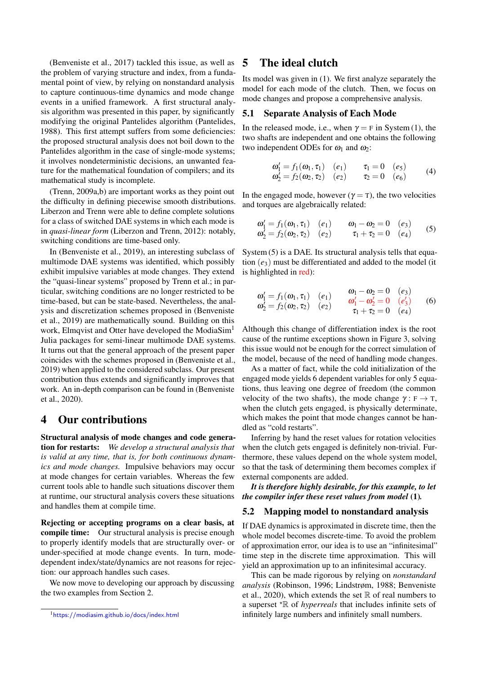(Benveniste et al., 2017) tackled this issue, as well as the problem of varying structure and index, from a fundamental point of view, by relying on nonstandard analysis to capture continuous-time dynamics and mode change events in a unified framework. A first structural analysis algorithm was presented in this paper, by significantly modifying the original Pantelides algorithm (Pantelides, 1988). This first attempt suffers from some deficiencies: the proposed structural analysis does not boil down to the Pantelides algorithm in the case of single-mode systems; it involves nondeterministic decisions, an unwanted feature for the mathematical foundation of compilers; and its mathematical study is incomplete.

(Trenn, 2009a,b) are important works as they point out the difficulty in defining piecewise smooth distributions. Liberzon and Trenn were able to define complete solutions for a class of switched DAE systems in which each mode is in *quasi-linear form* (Liberzon and Trenn, 2012): notably, switching conditions are time-based only.

In (Benveniste et al., 2019), an interesting subclass of multimode DAE systems was identified, which possibly exhibit impulsive variables at mode changes. They extend the "quasi-linear systems" proposed by Trenn et al.; in particular, switching conditions are no longer restricted to be time-based, but can be state-based. Nevertheless, the analysis and discretization schemes proposed in (Benveniste et al., 2019) are mathematically sound. Building on this work, Elmqvist and Otter have developed the ModiaSim<sup>1</sup> Julia packages for semi-linear multimode DAE systems. It turns out that the general approach of the present paper coincides with the schemes proposed in (Benveniste et al., 2019) when applied to the considered subclass. Our present contribution thus extends and significantly improves that work. An in-depth comparison can be found in (Benveniste et al., 2020).

## 4 Our contributions

Structural analysis of mode changes and code generation for restarts: *We develop a structural analysis that is valid at any time, that is, for both continuous dynamics and mode changes.* Impulsive behaviors may occur at mode changes for certain variables. Whereas the few current tools able to handle such situations discover them at runtime, our structural analysis covers these situations and handles them at compile time.

Rejecting or accepting programs on a clear basis, at compile time: Our structural analysis is precise enough to properly identify models that are structurally over- or under-specified at mode change events. In turn, modedependent index/state/dynamics are not reasons for rejection: our approach handles such cases.

We now move to developing our approach by discussing the two examples from Section 2.

## 5 The ideal clutch

Its model was given in (1). We first analyze separately the model for each mode of the clutch. Then, we focus on mode changes and propose a comprehensive analysis.

#### 5.1 Separate Analysis of Each Mode

In the released mode, i.e., when  $\gamma = F$  in System (1), the two shafts are independent and one obtains the following two independent ODEs for  $\omega_1$  and  $\omega_2$ :

$$
\begin{array}{ll}\n\omega_1' = f_1(\omega_1, \tau_1) & (e_1) & \tau_1 = 0 & (e_5) \\
\omega_2' = f_2(\omega_2, \tau_2) & (e_2) & \tau_2 = 0 & (e_6)\n\end{array} \tag{4}
$$

In the engaged mode, however ( $\gamma = T$ ), the two velocities and torques are algebraically related:

$$
\begin{array}{ll}\n\omega_1' = f_1(\omega_1, \tau_1) & (e_1) & \omega_1 - \omega_2 = 0 & (e_3) \\
\omega_2' = f_2(\omega_2, \tau_2) & (e_2) & \tau_1 + \tau_2 = 0 & (e_4)\n\end{array} \tag{5}
$$

System (5) is a DAE. Its structural analysis tells that equation  $(e_3)$  must be differentiated and added to the model (it is highlighted in red):

$$
\begin{array}{ll}\n\omega_1' = f_1(\omega_1, \tau_1) & (e_1) & \omega_1 - \omega_2 = 0 & (e_3) \\
\omega_2' = f_2(\omega_2, \tau_2) & (e_2) & \tau_1 + \tau_2 = 0 & (e_4)\n\end{array} \tag{6}
$$

Although this change of differentiation index is the root cause of the runtime exceptions shown in Figure 3, solving this issue would not be enough for the correct simulation of the model, because of the need of handling mode changes.

As a matter of fact, while the cold initialization of the engaged mode yields 6 dependent variables for only 5 equations, thus leaving one degree of freedom (the common velocity of the two shafts), the mode change  $\gamma : F \to T$ , when the clutch gets engaged, is physically determinate, which makes the point that mode changes cannot be handled as "cold restarts".

Inferring by hand the reset values for rotation velocities when the clutch gets engaged is definitely non-trivial. Furthermore, these values depend on the whole system model, so that the task of determining them becomes complex if external components are added.

*It is therefore highly desirable, for this example, to let the compiler infer these reset values from model* (1)*.*

#### 5.2 Mapping model to nonstandard analysis

If DAE dynamics is approximated in discrete time, then the whole model becomes discrete-time. To avoid the problem of approximation error, our idea is to use an "infinitesimal" time step in the discrete time approximation. This will yield an approximation up to an infinitesimal accuracy.

This can be made rigorous by relying on *nonstandard analysis* (Robinson, 1996; Lindstrøm, 1988; Benveniste et al., 2020), which extends the set  $\mathbb R$  of real numbers to a superset  $* \mathbb{R}$  of *hyperreals* that includes infinite sets of infinitely large numbers and infinitely small numbers.

<sup>1</sup><https://modiasim.github.io/docs/index.html>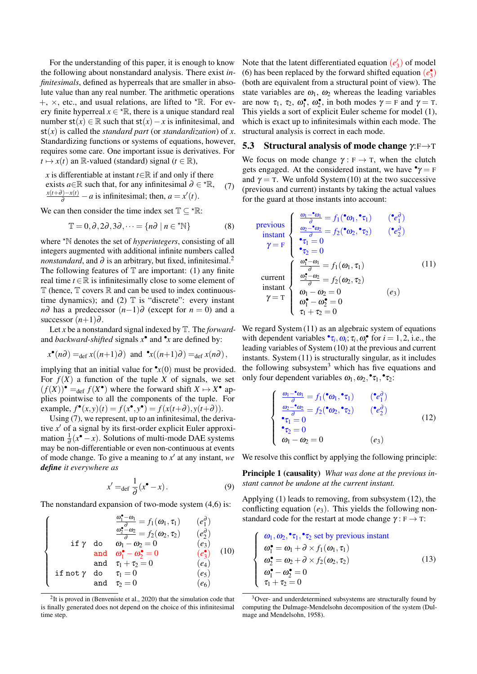For the understanding of this paper, it is enough to know the following about nonstandard analysis. There exist *infinitesimals*, defined as hyperreals that are smaller in absolute value than any real number. The arithmetic operations  $+$ ,  $\times$ , etc., and usual relations, are lifted to  $*$ R. For every finite hyperreal  $x \in \text{R}$ , there is a unique standard real number  $st(x) \in \mathbb{R}$  such that  $st(x) - x$  is infinitesimal, and  $st(x)$  is called the *standard part* (or *standardization*) of *x*. Standardizing functions or systems of equations, however, requires some care. One important issue is derivatives. For  $t \mapsto x(t)$  an R-valued (standard) signal ( $t \in \mathbb{R}$ ),

*x* is differentiable at instant *t*∈R if and only if there exists *a*∈R such that, for any infinitesimal  $\partial \in \text{A}^*$ ,  $\frac{x(t+\partial)-x(t)}{\partial}$  – *a* is infinitesimal; then, *a* = *x*<sup> $t$ </sup>(*t*). (7)

We can then consider the time index set  $\mathbb{T} \subset \text{R}:$ 

$$
\mathbb{T} = 0, \partial, 2\partial, 3\partial, \dots = \{n\partial \mid n \in {}^{\star}\mathbb{N}\}
$$
 (8)

where <sup>\*</sup>N denotes the set of *hyperintegers*, consisting of all integers augmented with additional infinite numbers called *nonstandard*, and  $\partial$  is an arbitrary, but fixed, infinitesimal.<sup>2</sup> The following features of  $T$  are important: (1) any finite real time  $t \in \mathbb{R}$  is infinitesimally close to some element of  $\mathbb T$  (hence,  $\mathbb T$  covers  $\mathbb R$  and can be used to index continuoustime dynamics); and (2)  $\mathbb T$  is "discrete": every instant *n*∂ has a predecessor  $(n-1)$ ∂ (except for  $n = 0$ ) and a successor  $(n+1)\partial$ .

Let *x* be a nonstandard signal indexed by T. The *forward*and *backward-shifted* signals  $x^{\bullet}$  and  $^{\bullet}x$  are defined by:

$$
x^{\bullet}(n\partial) =_{\text{def}} x((n+1)\partial)
$$
 and  $\mathbf{r}_x((n+1)\partial) =_{\text{def}} x(n\partial)$ ,

implying that an initial value for  $\mathbf{P}_x(0)$  must be provided. For  $f(X)$  a function of the tuple X of signals, we set  $(f(X))^{\bullet} =_{def} f(X^{\bullet})$  where the forward shift  $X \mapsto X^{\bullet}$  applies pointwise to all the components of the tuple. For  $\text{example, } f^{\bullet}(x, y)(t) = f(x^{\bullet}, y^{\bullet}) = f(x(t+\partial), y(t+\partial)).$ 

Using (7), we represent, up to an infinitesimal, the derivative x' of a signal by its first-order explicit Euler approximation  $\frac{1}{\partial}(x^{\bullet} - x)$ . Solutions of multi-mode DAE systems may be non-differentiable or even non-continuous at events of mode change. To give a meaning to  $x'$  at any instant, we *define it everywhere as*

$$
x' =_{\text{def}} \frac{1}{\partial} (x^{\bullet} - x). \tag{9}
$$

The nonstandard expansion of two-mode system (4,6) is:

$$
\begin{cases}\n\frac{\omega_1^{\bullet} - \omega_1}{\omega_2^{\bullet} - \omega_2} = f_1(\omega_1, \tau_1) & (e_1^{\partial}) \\
\frac{\omega_2^{\bullet} - \omega_2}{\partial} = f_2(\omega_2, \tau_2) & (e_2^{\partial}) \\
\text{if } \gamma \text{ do } \omega_1 - \omega_2 = 0 & (e_3) \\
\text{and } \omega_1^{\bullet} - \omega_2^{\bullet} = 0 & (e_3^{\bullet}) \\
\text{and } \tau_1 + \tau_2 = 0 & (e_4) \\
\text{if not } \gamma \text{ do } \tau_1 = 0 & (e_5) \\
\text{and } \tau_2 = 0 & (e_6)\n\end{cases}
$$

<sup>2</sup>It is proved in (Benveniste et al., 2020) that the simulation code that is finally generated does not depend on the choice of this infinitesimal time step.

Note that the latent differentiated equation  $(e'_3)$  of model (6) has been replaced by the forward shifted equation  $(e_3^{\bullet})$ (both are equivalent from a structural point of view). The state variables are  $\omega_1$ ,  $\omega_2$  whereas the leading variables are now  $\tau_1$ ,  $\tau_2$ ,  $\omega_1^{\bullet}$ ,  $\omega_2^{\bullet}$ , in both modes  $\gamma = \text{F}$  and  $\gamma = \text{T}$ . This yields a sort of explicit Euler scheme for model (1), which is exact up to infinitesimals within each mode. The structural analysis is correct in each mode.

#### 5.3 Structural analysis of mode change  $\gamma : F \rightarrow T$

We focus on mode change  $\gamma : F \to T$ , when the clutch gets engaged. At the considered instant, we have  $\gamma = F$ and  $\gamma = T$ . We unfold System (10) at the two successive (previous and current) instants by taking the actual values for the guard at those instants into account:

$$
\begin{array}{ll}\n\text{previous} & \left( \begin{array}{cc} \frac{\omega_1 - \mathbf{e}_0}{\partial} = f_1(\mathbf{e}_0, \mathbf{e}_1) & (\mathbf{e}_1^{\partial}) \\
\frac{\omega_2 - \mathbf{e}_0}{\partial} = f_2(\mathbf{e}_0, \mathbf{e}_2) & (\mathbf{e}_2^{\partial}) \\
\mathbf{e}_1 = 0 & \mathbf{e}_2 \\
\mathbf{e}_2 = 0 & \mathbf{e}_2\n\end{array} \right) \\
\text{current} & \left( \begin{array}{cc} \frac{\omega_1 - \omega_1}{\partial} = f_1(\omega_1, \tau_1) & \text{(11)} \\
\frac{\omega_2 - \omega_2}{\partial} = f_2(\omega_2, \tau_2) & \text{(21)} \\
\frac{\omega_2 - \omega_2}{\partial} = f_2(\omega_2, \tau_2) & \mathbf{e}_3 \\
\mathbf{e}_1 - \omega_2 = 0 & \mathbf{e}_3\n\end{array} \right)\n\end{array}
$$

We regard System (11) as an algebraic system of equations with dependent variables  $\mathbf{r}_i$ ,  $\omega_i$ ;  $\tau_i$ ,  $\omega_i^*$  for  $i = 1, 2$ , i.e., the leading variables of System (10) at the previous and current instants. System (11) is structurally singular, as it includes the following subsystem<sup>3</sup> which has five equations and only four dependent variables  $\omega_1, \omega_2, \cdot \tau_1, \cdot \tau_2$ :

$$
\begin{cases}\n\frac{\omega_1 - \mathbf{v}_0}{\partial} = f_1(\mathbf{v}_0, \mathbf{v}_1) & (\mathbf{v}_1) \\
\frac{\omega_2 - \mathbf{v}_0}{\partial} = f_2(\mathbf{v}_0, \mathbf{v}_2) & (\mathbf{v}_2) \\
\mathbf{v}_1 = 0 & (\mathbf{v}_2) \\
\mathbf{v}_2 = 0 & (\mathbf{v}_3) \\
\omega_1 - \omega_2 = 0 & (\mathbf{e}_3)\n\end{cases}
$$
\n(12)

We resolve this conflict by applying the following principle:

Principle 1 (causality) *What was done at the previous instant cannot be undone at the current instant.*

Applying (1) leads to removing, from subsystem (12), the conflicting equation (*e*3). This yields the following nonstandard code for the restart at mode change  $\gamma : F \to T$ :

$$
\begin{cases}\n\omega_1, \omega_2, \mathbf{I}_1, \mathbf{I}_2 \text{ set by previous instant} \\
\omega_1^{\bullet} = \omega_1 + \partial \times f_1(\omega_1, \tau_1) \\
\omega_2^{\bullet} = \omega_2 + \partial \times f_2(\omega_2, \tau_2) \\
\omega_1^{\bullet} - \omega_2^{\bullet} = 0 \\
\tau_1 + \tau_2 = 0\n\end{cases}
$$
\n(13)

<sup>&</sup>lt;sup>3</sup>Over- and underdetermined subsystems are structurally found by computing the Dulmage-Mendelsohn decomposition of the system (Dulmage and Mendelsohn, 1958).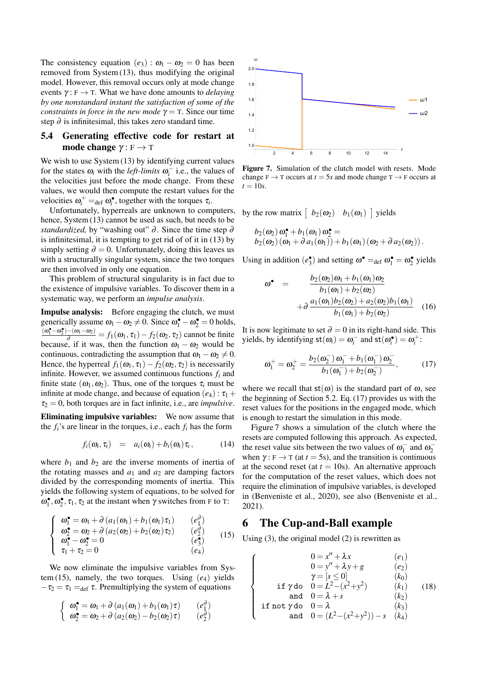The consistency equation  $(e_3)$ :  $\omega_1 - \omega_2 = 0$  has been removed from System (13), thus modifying the original model. However, this removal occurs only at mode change events  $\gamma : F \to T$ . What we have done amounts to *delaying by one nonstandard instant the satisfaction of some of the constraints in force in the new mode*  $\gamma = T$ . Since our time step  $\partial$  is infinitesimal, this takes zero standard time.

#### 5.4 Generating effective code for restart at mode change  $\gamma : F \to T$

We wish to use System (13) by identifying current values for the states  $\omega_i$  with the *left-limits*  $\omega_i^-$  i.e., the values of the velocities just before the mode change. From these values, we would then compute the restart values for the velocities  $\omega_i^+ =_{\text{def}} \omega_i^{\bullet}$ , together with the torques  $\tau_i$ .

Unfortunately, hyperreals are unknown to computers, hence, System (13) cannot be used as such, but needs to be *standardized,* by "washing out" ∂. Since the time step ∂ is infinitesimal, it is tempting to get rid of of it in (13) by simply setting  $\partial = 0$ . Unfortunately, doing this leaves us with a structurally singular system, since the two torques are then involved in only one equation.

This problem of structural singularity is in fact due to the existence of impulsive variables. To discover them in a systematic way, we perform an *impulse analysis*.

Impulse analysis: Before engaging the clutch, we must generically assume  $\omega_1 - \omega_2 \neq 0$ . Since  $\omega_1^{\bullet} - \omega_2^{\bullet} = 0$  holds,  $\frac{(\omega_1 - \omega_2) - (\omega_1 - \omega_2)}{\omega} = f_1(\omega_1, \tau_1) - f_2(\omega_2, \tau_2)$  cannot be finite because, if it was, then the function  $\omega_1 - \omega_2$  would be continuous, contradicting the assumption that  $\omega_1 - \omega_2 \neq 0$ . Hence, the hyperreal  $f_1(\omega_1, \tau_1) - f_2(\omega_2, \tau_2)$  is necessarily infinite. However, we assumed continuous functions *f<sup>i</sup>* and finite state  $(\omega_1, \omega_2)$ . Thus, one of the torques  $\tau_i$  must be infinite at mode change, and because of equation  $(e_4)$ :  $\tau_1$  +  $\tau_2 = 0$ , both torques are in fact infinite, i.e., are *impulsive*.

Eliminating impulsive variables: We now assume that the  $f_i$ 's are linear in the torques, i.e., each  $f_i$  has the form

$$
f_i(\omega_i, \tau_i) = a_i(\omega_i) + b_i(\omega_i) \tau_i, \qquad (14)
$$

where  $b_1$  and  $b_2$  are the inverse moments of inertia of the rotating masses and  $a_1$  and  $a_2$  are damping factors divided by the corresponding moments of inertia. This yields the following system of equations, to be solved for  $\omega_1^{\bullet}, \omega_2^{\bullet}, \tau_1, \tau_2$  at the instant when  $\gamma$  switches from F to T:

$$
\begin{cases}\n\omega_1^{\bullet} = \omega_1 + \partial (a_1(\omega_1) + b_1(\omega_1)\tau_1) & (e_1^{\partial}) \\
\omega_2^{\bullet} = \omega_2 + \partial (a_2(\omega_2) + b_2(\omega_2)\tau_2) & (e_2^{\partial}) \\
\omega_1^{\bullet} - \omega_2^{\bullet} = 0 & (e_3^{\bullet}) \\
\tau_1 + \tau_2 = 0 & (e_4)\n\end{cases} \tag{15}
$$

We now eliminate the impulsive variables from System  $(15)$ , namely, the two torques. Using  $(e_4)$  yields  $-\tau_2 = \tau_1 =_{def} \tau$ . Premultiplying the system of equations

$$
\begin{cases}\n\omega_1^{\bullet} = \omega_1 + \partial (a_1(\omega_1) + b_1(\omega_1)\tau) & (e_1^{\partial}) \\
\omega_2^{\bullet} = \omega_2 + \partial (a_2(\omega_2) - b_2(\omega_2)\tau) & (e_2^{\partial})\n\end{cases}
$$



Figure 7. Simulation of the clutch model with resets. Mode change  $F \to T$  occurs at  $t = 5s$  and mode change  $T \to F$  occurs at  $t = 10s$ .

by the row matrix  $\begin{bmatrix} b_2(\omega_2) & b_1(\omega_1) \end{bmatrix}$  yields

$$
b_2(\omega_2) \omega_1^{\bullet} + b_1(\omega_1) \omega_2^{\bullet} = b_2(\omega_2) (\omega_1 + \partial a_1(\omega_1)) + b_1(\omega_1) (\omega_2 + \partial a_2(\omega_2)).
$$

Using in addition  $(e_3^{\bullet})$  and setting  $\omega^{\bullet} =_{def} \omega_1^{\bullet} = \omega_2^{\bullet}$  yields

$$
\omega^{\bullet} = \frac{b_2(\omega_2)\omega_1 + b_1(\omega_1)\omega_2}{b_1(\omega_1) + b_2(\omega_2)}
$$

$$
+ \partial \frac{a_1(\omega_1)b_2(\omega_2) + a_2(\omega_2)b_1(\omega_1)}{b_1(\omega_1) + b_2(\omega_2)} \quad (16)
$$

It is now legitimate to set  $\partial = 0$  in its right-hand side. This yields, by identifying  $st(\omega_i) = \omega_i^-$  and  $st(\omega_i^{\bullet}) = \omega_i^+$ :

$$
\omega_1^+ = \omega_2^+ = \frac{b_2(\omega_2^-) \omega_1^- + b_1(\omega_1^-) \omega_2^-}{b_1(\omega_1^-) + b_2(\omega_2^-)},
$$
 (17)

where we recall that  $st(\omega)$  is the standard part of  $\omega$ , see the beginning of Section 5.2. Eq. (17) provides us with the reset values for the positions in the engaged mode, which is enough to restart the simulation in this mode.

Figure 7 shows a simulation of the clutch where the resets are computed following this approach. As expected, the reset value sits between the two values of  $\omega_1^-$  and  $\omega_2^$ when  $\gamma$ : F  $\rightarrow$  T (at *t* = 5s), and the transition is continuous at the second reset (at  $t = 10$ s). An alternative approach for the computation of the reset values, which does not require the elimination of impulsive variables, is developed in (Benveniste et al., 2020), see also (Benveniste et al., 2021).

## 6 The Cup-and-Ball example

 $\sqrt{ }$ 

 $\begin{matrix} \end{matrix}$ 

 $\begin{array}{c} \hline \end{array}$ 

Using (3), the original model (2) is rewritten as

$$
0 = x'' + \lambda x \qquad (e_1) \n0 = y'' + \lambda y + g \qquad (e_2) \n\gamma = [s \le 0] \qquad (k_0) \n\text{if } \gamma \text{ do } 0 = L^2 - (x^2 + y^2) \qquad (k_1) \n\text{and } 0 = \lambda + s \qquad (k_2)
$$
\n(18)

$$
\begin{array}{ll}\n\text{if not } \gamma \text{ do} & 0 = \lambda \quad (k_3) \\
\text{and} & 0 = (L^2 - (x^2 + y^2)) - s \quad (k_4)\n\end{array}
$$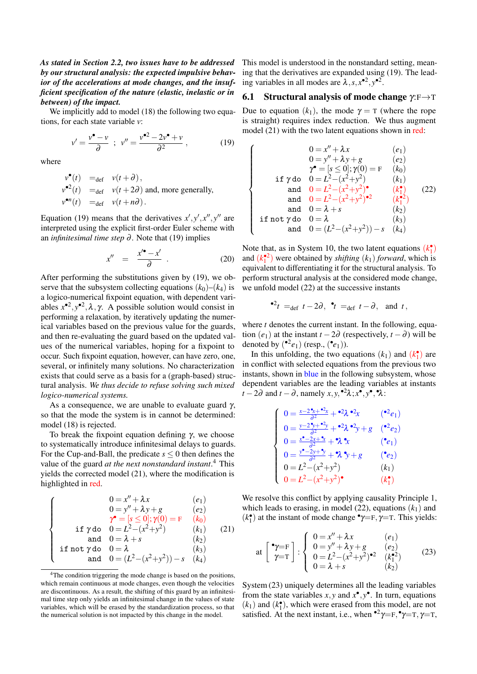*As stated in Section 2.2, two issues have to be addressed by our structural analysis: the expected impulsive behavior of the accelerations at mode changes, and the insufficient specification of the nature (elastic, inelastic or in between) of the impact.*

We implicitly add to model (18) the following two equations, for each state variable *v*:

$$
v' = \frac{v^{\bullet} - v}{\partial} \; ; \; v'' = \frac{v^{\bullet 2} - 2v^{\bullet} + v}{\partial^2} \,, \tag{19}
$$

where

$$
\begin{aligned}\n v^{\bullet}(t) &=_{\text{def}} v(t+\partial), \\
 v^{\bullet 2}(t) &=_{\text{def}} v(t+2\partial) \text{ and, more generally,} \\
 v^{\bullet n}(t) &=_{\text{def}} v(t+n\partial).\n \end{aligned}
$$

Equation (19) means that the derivatives  $x', y', x'', y''$  are interpreted using the explicit first-order Euler scheme with an *infinitesimal time step* ∂ . Note that (19) implies

$$
x'' = \frac{x'^{\bullet} - x'}{\partial} \tag{20}
$$

After performing the substitutions given by (19), we observe that the subsystem collecting equations  $(k_0)$ – $(k_4)$  is a logico-numerical fixpoint equation, with dependent variables  $x^{\bullet 2}$ ,  $y^{\bullet 2}$ ,  $\lambda$ ,  $\gamma$ . A possible solution would consist in performing a relaxation, by iteratively updating the numerical variables based on the previous value for the guards, and then re-evaluating the guard based on the updated values of the numerical variables, hoping for a fixpoint to occur. Such fixpoint equation, however, can have zero, one, several, or infinitely many solutions. No characterization exists that could serve as a basis for a (graph-based) structural analysis. *We thus decide to refuse solving such mixed logico-numerical systems.*

As a consequence, we are unable to evaluate guard  $\gamma$ , so that the mode the system is in cannot be determined: model (18) is rejected.

To break the fixpoint equation defining  $γ$ , we choose to systematically introduce infinitesimal delays to guards. For the Cup-and-Ball, the predicate  $s \leq 0$  then defines the value of the guard *at the next nonstandard instant*. 4 This yields the corrected model (21), where the modification is highlighted in red.

$$
\begin{cases}\n0 = x'' + \lambda x & (e_1) \\
0 = y'' + \lambda y + g & (e_2) \\
\gamma^* = [s \le 0]; \gamma(0) = F & (k_0) \\
\text{if } \gamma \text{ do } 0 = L^2 - (x^2 + y^2) & (k_1) \\
\text{and } 0 = \lambda + s & (k_2) \\
\text{if not } \gamma \text{ do } 0 = \lambda & (k_3) \\
\text{and } 0 = (L^2 - (x^2 + y^2)) - s & (k_4)\n\end{cases}
$$

<sup>4</sup>The condition triggering the mode change is based on the positions, which remain continuous at mode changes, even though the velocities are discontinuous. As a result, the shifting of this guard by an infinitesimal time step only yields an infinitesimal change in the values of state variables, which will be erased by the standardization process, so that the numerical solution is not impacted by this change in the model.

This model is understood in the nonstandard setting, meaning that the derivatives are expanded using (19). The leading variables in all modes are  $\lambda$ ,  $s$ ,  $x^{\bullet 2}$ ,  $y^{\bullet 2}$ .

### 6.1 Structural analysis of mode change  $\gamma: F \rightarrow T$

Due to equation  $(k_1)$ , the mode  $\gamma = T$  (where the rope is straight) requires index reduction. We thus augment model (21) with the two latent equations shown in red:

 $\sqrt{ }$ 

 $\begin{array}{c} \hline \end{array}$ 

 $\begin{array}{c} \hline \end{array}$ 

$$
0 = x'' + \lambda x \qquad (e_1)
$$
  
\n
$$
0 = y'' + \lambda y + g \qquad (e_2)
$$
  
\n
$$
\gamma^{\bullet} = [s \le 0]; \gamma(0) = F \qquad (k_0)
$$
  
\nif  $\gamma$  do  $0 = L^2 - (x^2 + y^2) \qquad (k_1)$   
\nand  $0 = L^2 - (x^2 + y^2)^{\bullet} \qquad (k_1^{\bullet})$   
\nand  $0 = L^2 - (x^2 + y^2)^{\bullet 2} \qquad (k_1^{\bullet 2})$   
\nand  $0 = \lambda + s \qquad (k_2)$   
\nif not  $\gamma$  do  $0 = \lambda$   
\nand  $0 = (L^2 - (x^2 + y^2)) - s \qquad (k_4)$ 

Note that, as in System 10, the two latent equations  $(k_1^{\bullet})$ and  $(k_1^2)$  were obtained by *shifting*  $(k_1)$  *forward*, which is equivalent to differentiating it for the structural analysis. To perform structural analysis at the considered mode change, we unfold model (22) at the successive instants

$$
•^2t =_{def} t - 2\partial, \quad t =_{def} t - \partial, \quad \text{and} \quad t,
$$

where *t* denotes the current instant. In the following, equation  $(e_1)$  at the instant  $t - 2\partial$  (respectively,  $t - \partial$ ) will be denoted by  $({}^{\bullet 2}e_1)$  (resp.,  $({}^{\bullet}e_1)$ ).

In this unfolding, the two equations  $(k_1)$  and  $(k_1)$ <sup>\*</sup> in conflict with selected equations from the previous two instants, shown in blue in the following subsystem, whose dependent variables are the leading variables at instants  $t - 2\partial$  and  $t - \partial$ , namely  $x, y, ^{\bullet 2}\lambda; x^{\bullet}, y^{\bullet}, ^{\bullet}\lambda$ :

$$
\begin{cases}\n0 = \frac{x - 2^{*} + 1}{\partial^{2}} + 2\lambda^{*} + 2\lambda^{*} \\
0 = \frac{y - 2^{*} + 1}{\partial^{2}} + 2\lambda^{*} + 2\lambda^{*} \\
0 = \frac{x^{*} - 2x + 1}{\partial^{2}} + 2\lambda^{*} \\
0 = \frac{x^{*} - 2x + 1}{\partial^{2}} + 2\lambda^{*} \\
0 = \frac{y^{*} - 2y + 1}{\partial^{2}} + 2\lambda^{*} + g \\
0 = L^{2} - (x^{2} + y^{2}) \\
0 = L^{2} - (x^{2} + y^{2}) \\
(k_{1})\n\end{cases}
$$

We resolve this conflict by applying causality Principle 1, which leads to erasing, in model  $(22)$ , equations  $(k_1)$  and  $(k_1^{\bullet})$  at the instant of mode change  $^{\bullet}\gamma = F, \gamma = T$ . This yields:

at 
$$
\begin{bmatrix} \mathbf{v}_{\mathbf{y}} = \mathbf{F} \\ \mathbf{v}_{\mathbf{y}} = \mathbf{T} \end{bmatrix}
$$
 :  $\begin{cases} 0 = x'' + \lambda x & (e_1) \\ 0 = y'' + \lambda y + g & (e_2) \\ 0 = L^2 - (x^2 + y^2) & (k_1^2) \\ 0 = \lambda + s & (k_2) \end{cases}$  (23)

System (23) uniquely determines all the leading variables from the state variables  $x, y$  and  $x^{\bullet}, y^{\bullet}$ . In turn, equations  $(k_1)$  and  $(k_1)$ , which were erased from this model, are not satisfied. At the next instant, i.e., when  $\mathbf{P}^2 \gamma = F, \mathbf{P} \gamma = T, \gamma = T$ ,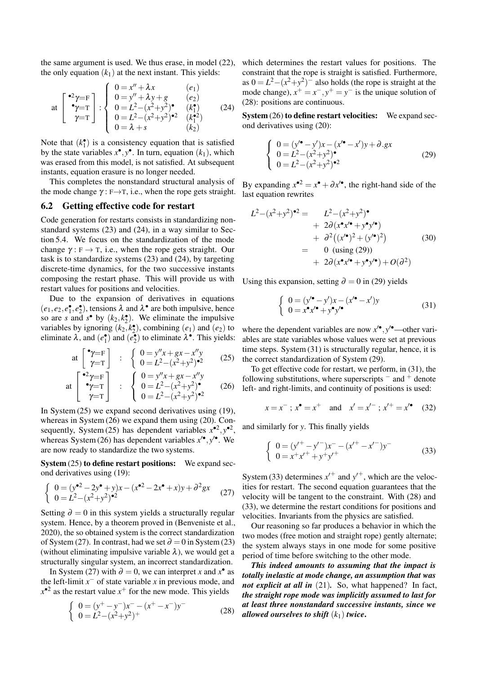the same argument is used. We thus erase, in model (22), the only equation  $(k_1)$  at the next instant. This yields:

at 
$$
\begin{bmatrix} \bullet^2 \gamma = \mathbf{F} \\ \bullet \gamma = \mathbf{T} \\ \gamma = \mathbf{T} \end{bmatrix} : \begin{cases} 0 = x'' + \lambda x & (e_1) \\ 0 = y'' + \lambda y + g & (e_2) \\ 0 = L^2 - (x^2 + y^2) & (k_1^{\bullet}) \\ 0 = L^2 - (x^2 + y^2)^{\bullet 2} & (k_1^{\bullet 2}) \\ 0 = \lambda + s & (k_2) \end{cases}
$$
 (24)

Note that  $(k_1^{\bullet})$  is a consistency equation that is satisfied by the state variables  $x^{\bullet}, y^{\bullet}$ . In turn, equation  $(k_1)$ , which was erased from this model, is not satisfied. At subsequent instants, equation erasure is no longer needed.

This completes the nonstandard structural analysis of the mode change  $\gamma : F \rightarrow T$ , i.e., when the rope gets straight.

#### 6.2 Getting effective code for restart

Code generation for restarts consists in standardizing nonstandard systems (23) and (24), in a way similar to Section 5.4. We focus on the standardization of the mode change  $\gamma : F \to T$ , i.e., when the rope gets straight. Our task is to standardize systems (23) and (24), by targeting discrete-time dynamics, for the two successive instants composing the restart phase. This will provide us with restart values for positions and velocities.

Due to the expansion of derivatives in equations  $(e_1, e_2, e_1^{\bullet}, e_2^{\bullet})$ , tensions  $\lambda$  and  $\lambda^{\bullet}$  are both impulsive, hence so are *s* and *s*<sup>•</sup> by  $(k_2, k_2^{\bullet})$ . We eliminate the impulsive variables by ignoring  $(k_2, k_2)$ , combining  $(e_1)$  and  $(e_2)$  to eliminate  $\lambda$ , and  $(e_1^{\bullet})$  and  $(e_2^{\bullet})$  to eliminate  $\lambda^{\bullet}$ . This yields:

at 
$$
\begin{bmatrix} \mathbf{\hat{y}}=\mathbf{F} \\ \mathbf{\hat{y}}=\mathbf{T} \end{bmatrix}
$$
 :  $\begin{cases} 0 = y''x + gx - x''y \\ 0 = L^2 - (x^2 + y^2)^{\bullet 2} \end{cases}$  (25)

at 
$$
\begin{bmatrix} \bullet^2 \gamma = \mathbf{F} \\ \bullet \gamma = \mathbf{T} \\ \gamma = \mathbf{T} \end{bmatrix} : \begin{cases} 0 = y''x + gx - x''y \\ 0 = L^2 - (x^2 + y^2) \bullet \\ 0 = L^2 - (x^2 + y^2) \bullet^2 \end{cases}
$$
 (26)

In System  $(25)$  we expand second derivatives using  $(19)$ , whereas in System (26) we expand them using (20). Consequently, System (25) has dependent variables  $x^{\bullet 2}$ ,  $y^{\bullet 2}$ , whereas System (26) has dependent variables  $x^{\prime\bullet}$ ,  $y^{\prime\bullet}$ . We are now ready to standardize the two systems.

System (25) to define restart positions: We expand second derivatives using (19):

$$
\begin{cases}\n0 = (y^{\bullet 2} - 2y^{\bullet} + y)x - (x^{\bullet 2} - 2x^{\bullet} + x)y + \partial^2 gx \\
0 = L^2 - (x^2 + y^2)^{\bullet 2}\n\end{cases}
$$
\n(27)

Setting  $\partial = 0$  in this system yields a structurally regular system. Hence, by a theorem proved in (Benveniste et al., 2020), the so obtained system is the correct standardization of System (27). In contrast, had we set  $\partial = 0$  in System (23) (without eliminating impulsive variable  $\lambda$ ), we would get a structurally singular system, an incorrect standardization.

In System (27) with  $\partial = 0$ , we can interpret *x* and  $x^{\bullet}$  as the left-limit  $x^-$  of state variable  $x$  in previous mode, and  $x^{\bullet 2}$  as the restart value  $x^+$  for the new mode. This yields

$$
\begin{cases}\n0 = (y^+ - y^-)x^- - (x^+ - x^-)y^- \\
0 = L^2 - (x^2 + y^2)^+\n\end{cases}
$$
\n(28)

which determines the restart values for positions. The constraint that the rope is straight is satisfied. Furthermore, as  $0 = L^2 - (x^2 + y^2)^{-1}$  also holds (the rope is straight at the mode change),  $x^+ = x^-$ ,  $y^+ = y^-$  is the unique solution of (28): positions are continuous.

System (26) to define restart velocities: We expand second derivatives using (20):

$$
\begin{cases}\n0 = (y' \cdot - y')x - (x' \cdot - x')y + \partial.gx \\
0 = L^2 - (x^2 + y^2) \cdot \\
0 = L^2 - (x^2 + y^2)^{-2}\n\end{cases}
$$
\n(29)

By expanding  $x^{\bullet 2} = x^{\bullet} + \partial x'^{\bullet}$ , the right-hand side of the last equation rewrites

$$
L^{2}-(x^{2}+y^{2})^{\bullet 2} = L^{2}-(x^{2}+y^{2})^{\bullet}
$$
  
+  $2\partial (x^{\bullet}x'^{\bullet}+y^{\bullet}y'^{\bullet})$   
+  $\partial^{2} ((x'^{\bullet})^{2}+(y'^{\bullet})^{2})$   
= 0 (using (29))  
+  $2\partial (x^{\bullet}x'^{\bullet}+y^{\bullet}y'^{\bullet})+O(\partial^{2})$ 

Using this expansion, setting  $\partial = 0$  in (29) yields

$$
\begin{cases}\n0 = (y'^{\bullet} - y')x - (x'^{\bullet} - x')y \\
0 = x^{\bullet}x'^{\bullet} + y^{\bullet}y'^{\bullet}\n\end{cases}
$$
\n(31)

where the dependent variables are now  $x^{\prime\bullet}$ ,  $y^{\prime\bullet}$  —other variables are state variables whose values were set at previous time steps. System (31) is structurally regular, hence, it is the correct standardization of System (29).

To get effective code for restart, we perform, in (31), the following substitutions, where superscripts  $-$  and  $+$  denote left- and right-limits, and continuity of positions is used:

$$
x = x^-
$$
;  $x^{\bullet} = x^+$  and  $x' = x'^{-}$ ;  $x'^{+} = x'^{\bullet}$  (32)

and similarly for *y*. This finally yields

$$
\begin{cases}\n0 = (y'^+ - y'^-)x^- - (x'^+ - x'^-)y^- \\
0 = x^+x'^+ + y^+y'^+\n\end{cases}
$$
\n(33)

System (33) determines  $x'^+$  and  $y'^+$ , which are the velocities for restart. The second equation guarantees that the velocity will be tangent to the constraint. With (28) and (33), we determine the restart conditions for positions and velocities. Invariants from the physics are satisfied.

Our reasoning so far produces a behavior in which the two modes (free motion and straight rope) gently alternate; the system always stays in one mode for some positive period of time before switching to the other mode.

*This indeed amounts to assuming that the impact is totally inelastic at mode change, an assumption that was not explicit at all in* (21). So, what happened? In fact, *the straight rope mode was implicitly assumed to last for at least three nonstandard successive instants, since we allowed ourselves to shift*  $(k_1)$  *twice.*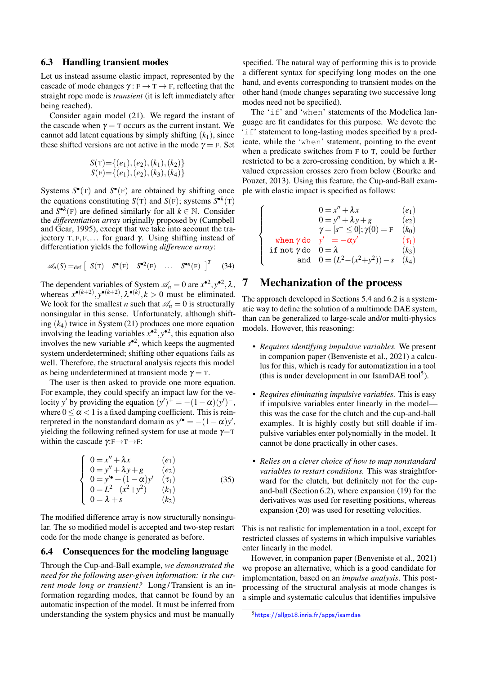#### 6.3 Handling transient modes

Let us instead assume elastic impact, represented by the cascade of mode changes  $\gamma : F \to T \to F$ , reflecting that the straight rope mode is *transient* (it is left immediately after being reached).

Consider again model (21). We regard the instant of the cascade when  $\gamma = T$  occurs as the current instant. We cannot add latent equations by simply shifting  $(k_1)$ , since these shifted versions are not active in the mode  $\gamma = F$ . Set

$$
S(T)=\{(e_1),(e_2),(k_1),(k_2)\}\nS(F)=\{(e_1),(e_2),(k_3),(k_4)\}
$$

Systems  $S^{\bullet}(T)$  and  $S^{\bullet}(F)$  are obtained by shifting once the equations constituting  $S(T)$  and  $S(F)$ ; systems  $S^{\bullet k}(T)$ and  $S^{\bullet k}(F)$  are defined similarly for all  $k \in \mathbb{N}$ . Consider the *differentiation array* originally proposed by (Campbell and Gear, 1995), except that we take into account the trajectory T, F, F,... for guard γ. Using shifting instead of differentiation yields the following *difference array*:

$$
\mathscr{A}_n(S) =_{\text{def}} \left[ S(\mathbf{T}) \quad S^{\bullet}(\mathbf{F}) \quad S^{\bullet 2}(\mathbf{F}) \quad \dots \quad S^{\bullet n}(\mathbf{F}) \right]^T \quad (34)
$$

The dependent variables of System  $\mathcal{A}_n = 0$  are  $x^{\bullet 2}, y^{\bullet 2}, \lambda$ , whereas  $x^{\bullet(k+2)}$ ,  $y^{\bullet(k+2)}$ ,  $\lambda^{\bullet(k)}$ ,  $k > 0$  must be eliminated. We look for the smallest *n* such that  $\mathcal{A}_n = 0$  is structurally nonsingular in this sense. Unfortunately, although shifting (*k*4) twice in System (21) produces one more equation involving the leading variables  $x^{\bullet 2}$ ,  $y^{\bullet 2}$ , this equation also involves the new variable  $s^{\bullet 2}$ , which keeps the augmented system underdetermined; shifting other equations fails as well. Therefore, the structural analysis rejects this model as being underdetermined at transient mode  $\gamma = T$ .

The user is then asked to provide one more equation. For example, they could specify an impact law for the velocity *y'* by providing the equation  $(y')^+ = -(1 - \alpha)(y')^-$ , where  $0 \le \alpha < 1$  is a fixed damping coefficient. This is reinterpreted in the nonstandard domain as  $y'$ <sup> $\bullet$ </sup> = -(1 -  $\alpha$ )*y'*, yielding the following refined system for use at mode  $\gamma = T$ within the cascade  $\gamma: F \rightarrow T \rightarrow F$ :

$$
\begin{cases}\n0 = x'' + \lambda x & (e_1) \\
0 = y'' + \lambda y + g & (e_2) \\
0 = y'^{\bullet} + (1 - \alpha)y' & (\tau_1) \\
0 = L^2 - (x^2 + y^2) & (k_1) \\
0 = \lambda + s & (k_2)\n\end{cases}
$$
\n(35)

The modified difference array is now structurally nonsingular. The so modified model is accepted and two-step restart code for the mode change is generated as before.

#### 6.4 Consequences for the modeling language

Through the Cup-and-Ball example, *we demonstrated the need for the following user-given information: is the current mode long or transient?* Long/Transient is an information regarding modes, that cannot be found by an automatic inspection of the model. It must be inferred from understanding the system physics and must be manually specified. The natural way of performing this is to provide a different syntax for specifying long modes on the one hand, and events corresponding to transient modes on the other hand (mode changes separating two successive long modes need not be specified).

The 'if' and 'when' statements of the Modelica language are fit candidates for this purpose. We devote the 'if' statement to long-lasting modes specified by a predicate, while the 'when' statement, pointing to the event when a predicate switches from F to T, could be further restricted to be a zero-crossing condition, by which a Rvalued expression crosses zero from below (Bourke and Pouzet, 2013). Using this feature, the Cup-and-Ball example with elastic impact is specified as follows:

$$
0 = x'' + \lambda x \qquad (e_1)
$$
  
\n
$$
0 = y'' + \lambda y + g \qquad (e_2)
$$
  
\n
$$
\gamma = [s^- \le 0]; \gamma(0) = F \qquad (k_0)
$$
  
\nwhen  $\gamma$  do  $y'^{+} = -\alpha y' \qquad (\tau_1)$   
\nif not  $\gamma$  do  $0 = \lambda \qquad (k_3)$   
\nand 
$$
0 = (L^2 - (x^2 + y^2)) - s \qquad (k_4)
$$

## 7 Mechanization of the process

 $\sqrt{ }$  $\int$ 

 $\overline{\mathcal{L}}$ 

The approach developed in Sections 5.4 and 6.2 is a systematic way to define the solution of a multimode DAE system, than can be generalized to large-scale and/or multi-physics models. However, this reasoning:

- *Requires identifying impulsive variables.* We present in companion paper (Benveniste et al., 2021) a calculus for this, which is ready for automatization in a tool (this is under development in our IsamDAE tool<sup>5</sup>).
- *Requires eliminating impulsive variables.* This is easy if impulsive variables enter linearly in the model this was the case for the clutch and the cup-and-ball examples. It is highly costly but still doable if impulsive variables enter polynomially in the model. It cannot be done practically in other cases.
- *Relies on a clever choice of how to map nonstandard variables to restart conditions.* This was straightforward for the clutch, but definitely not for the cupand-ball (Section 6.2), where expansion (19) for the derivatives was used for resetting positions, whereas expansion (20) was used for resetting velocities.

This is not realistic for implementation in a tool, except for restricted classes of systems in which impulsive variables enter linearly in the model.

However, in companion paper (Benveniste et al., 2021) we propose an alternative, which is a good candidate for implementation, based on an *impulse analysis*. This postprocessing of the structural analysis at mode changes is a simple and systematic calculus that identifies impulsive

<sup>5</sup><https://allgo18.inria.fr/apps/isamdae>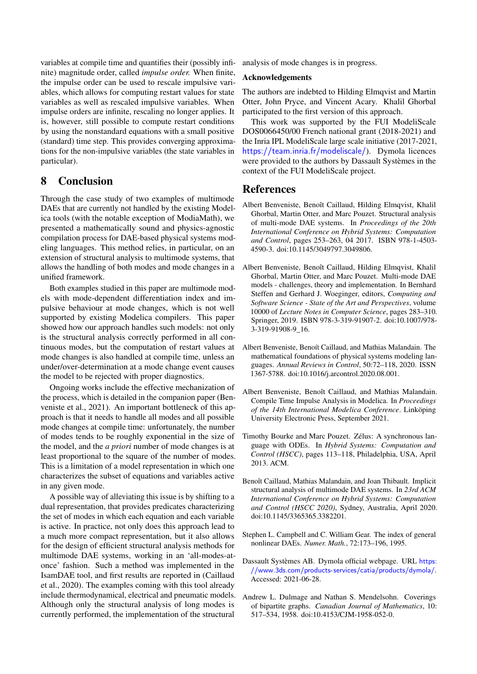variables at compile time and quantifies their (possibly infinite) magnitude order, called *impulse order.* When finite, the impulse order can be used to rescale impulsive variables, which allows for computing restart values for state variables as well as rescaled impulsive variables. When impulse orders are infinite, rescaling no longer applies. It is, however, still possible to compute restart conditions by using the nonstandard equations with a small positive (standard) time step. This provides converging approximations for the non-impulsive variables (the state variables in particular).

## 8 Conclusion

Through the case study of two examples of multimode DAEs that are currently not handled by the existing Modelica tools (with the notable exception of [ModiaMath\)](https://modiasim.github.io/ModiaMath.jl/stable/man/Overview.html), we presented a mathematically sound and physics-agnostic compilation process for DAE-based physical systems modeling languages. This method relies, in particular, on an extension of structural analysis to multimode systems, that allows the handling of both modes and mode changes in a unified framework.

Both examples studied in this paper are multimode models with mode-dependent differentiation index and impulsive behaviour at mode changes, which is not well supported by existing Modelica compilers. This paper showed how our approach handles such models: not only is the structural analysis correctly performed in all continuous modes, but the computation of restart values at mode changes is also handled at compile time, unless an under/over-determination at a mode change event causes the model to be rejected with proper diagnostics.

Ongoing works include the effective mechanization of the process, which is detailed in the companion paper (Benveniste et al., 2021). An important bottleneck of this approach is that it needs to handle all modes and all possible mode changes at compile time: unfortunately, the number of modes tends to be roughly exponential in the size of the model, and the *a priori* number of mode changes is at least proportional to the square of the number of modes. This is a limitation of a model representation in which one characterizes the subset of equations and variables active in any given mode.

A possible way of alleviating this issue is by shifting to a dual representation, that provides predicates characterizing the set of modes in which each equation and each variable is active. In practice, not only does this approach lead to a much more compact representation, but it also allows for the design of efficient structural analysis methods for multimode DAE systems, working in an 'all-modes-atonce' fashion. Such a method was implemented in the IsamDAE tool, and first results are reported in (Caillaud et al., 2020). The examples coming with this tool already include thermodynamical, electrical and pneumatic models. Although only the structural analysis of long modes is currently performed, the implementation of the structural

analysis of mode changes is in progress.

#### Acknowledgements

The authors are indebted to Hilding Elmqvist and Martin Otter, John Pryce, and Vincent Acary. Khalil Ghorbal participated to the first version of this approach.

This work was supported by the FUI ModeliScale DOS0066450/00 French national grant (2018-2021) and the Inria IPL ModeliScale large scale initiative (2017-2021, <https://team.inria.fr/modeliscale/>). Dymola licences were provided to the authors by Dassault Systèmes in the context of the FUI ModeliScale project.

### **References**

- Albert Benveniste, Benoît Caillaud, Hilding Elmqvist, Khalil Ghorbal, Martin Otter, and Marc Pouzet. Structural analysis of multi-mode DAE systems. In *Proceedings of the 20th International Conference on Hybrid Systems: Computation and Control*, pages 253–263, 04 2017. ISBN 978-1-4503- 4590-3. doi[:10.1145/3049797.3049806.](https://doi.org/10.1145/3049797.3049806)
- Albert Benveniste, Benoît Caillaud, Hilding Elmqvist, Khalil Ghorbal, Martin Otter, and Marc Pouzet. Multi-mode DAE models - challenges, theory and implementation. In Bernhard Steffen and Gerhard J. Woeginger, editors, *Computing and Software Science - State of the Art and Perspectives*, volume 10000 of *Lecture Notes in Computer Science*, pages 283–310. Springer, 2019. ISBN 978-3-319-91907-2. doi[:10.1007/978-](https://doi.org/10.1007/978-3-319-91908-9_16) [3-319-91908-9\\_16.](https://doi.org/10.1007/978-3-319-91908-9_16)
- Albert Benveniste, Benoít Caillaud, and Mathias Malandain. The mathematical foundations of physical systems modeling languages. *Annual Reviews in Control*, 50:72–118, 2020. ISSN 1367-5788. doi[:10.1016/j.arcontrol.2020.08.001.](https://doi.org/10.1016/j.arcontrol.2020.08.001)
- Albert Benveniste, Benoît Caillaud, and Mathias Malandain. Compile Time Impulse Analysis in Modelica. In *Proceedings of the 14th International Modelica Conference*. Linköping University Electronic Press, September 2021.
- Timothy Bourke and Marc Pouzet. Zélus: A synchronous language with ODEs. In *Hybrid Systems: Computation and Control (HSCC)*, pages 113–118, Philadelphia, USA, April 2013. ACM.
- Benoît Caillaud, Mathias Malandain, and Joan Thibault. Implicit structural analysis of multimode DAE systems. In *23rd ACM International Conference on Hybrid Systems: Computation and Control (HSCC 2020)*, Sydney, Australia, April 2020. doi[:10.1145/3365365.3382201.](https://doi.org/10.1145/3365365.3382201)
- Stephen L. Campbell and C. William Gear. The index of general nonlinear DAEs. *Numer. Math.*, 72:173–196, 1995.
- Dassault Systèmes AB. Dymola official webpage. URL [https:](https://www.3ds.com/products-services/catia/products/dymola/) [//www.3ds.com/products-services/catia/products/dymola/](https://www.3ds.com/products-services/catia/products/dymola/). Accessed: 2021-06-28.
- Andrew L. Dulmage and Nathan S. Mendelsohn. Coverings of bipartite graphs. *Canadian Journal of Mathematics*, 10: 517–534, 1958. doi[:10.4153/CJM-1958-052-0.](https://doi.org/10.4153/CJM-1958-052-0)